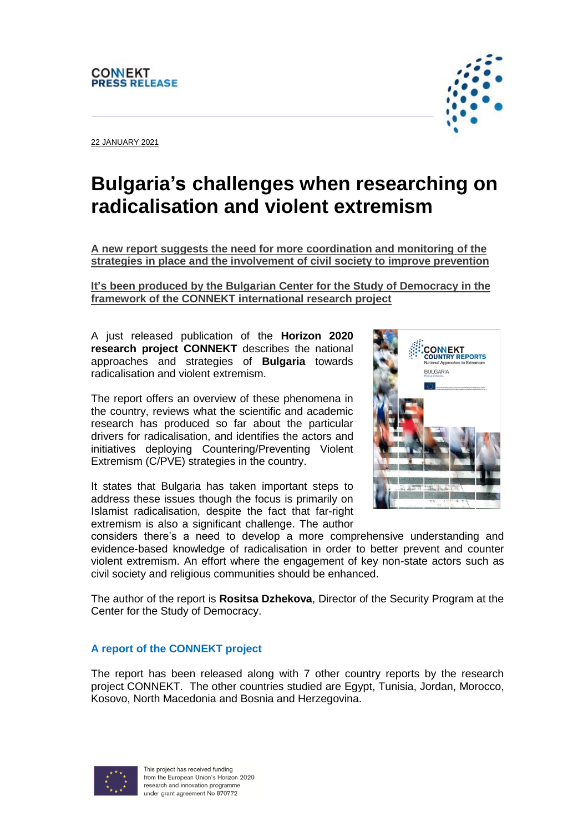## **CONNEKT PRESS RELEASE**

22 JANUARY 2021

## **Bulgaria's challenges when researching on radicalisation and violent extremism**

**A new report suggests the need for more coordination and monitoring of the strategies in place and the involvement of civil society to improve prevention**

**It's been produced by the Bulgarian Center for the Study of Democracy in the framework of the CONNEKT international research project** 

A just released publication of the **Horizon 2020 research project CONNEKT** describes the national approaches and strategies of **Bulgaria** towards radicalisation and violent extremism.

The report offers an overview of these phenomena in the country, reviews what the scientific and academic research has produced so far about the particular drivers for radicalisation, and identifies the actors and initiatives deploying Countering/Preventing Violent Extremism (C/PVE) strategies in the country.

It states that Bulgaria has taken important steps to address these issues though the focus is primarily on Islamist radicalisation, despite the fact that far-right extremism is also a significant challenge. The author



considers there's a need to develop a more comprehensive understanding and evidence-based knowledge of radicalisation in order to better prevent and counter violent extremism. An effort where the engagement of key non-state actors such as civil society and religious communities should be enhanced.

The author of the report is **Rositsa Dzhekova**, Director of the Security Program at the Center for the Study of Democracy.

## **A report of the CONNEKT project**

The report has been released along with 7 other country reports by the research project CONNEKT. The other countries studied are Egypt, Tunisia, Jordan, Morocco, Kosovo, North Macedonia and Bosnia and Herzegovina.